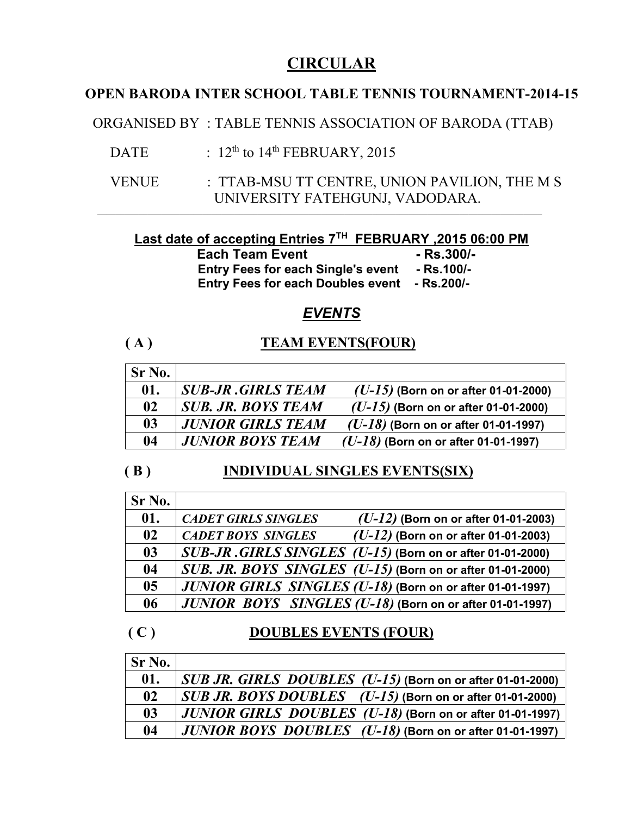# **CIRCULAR**

## **OPEN BARODA INTER SCHOOL TABLE TENNIS TOURNAMENT-2014-15**

ORGANISED BY : TABLE TENNIS ASSOCIATION OF BARODA (TTAB)

- DATE :  $12^{th}$  to  $14^{th}$  FEBRUARY, 2015
- VENUE : TTAB-MSU TT CENTRE, UNION PAVILION, THE M S UNIVERSITY FATEHGUNJ, VADODARA.

### **Last date of accepting Entries 7 TH FEBRUARY ,2015 06:00 PM**

 $\mathcal{L}_\mathcal{L} = \{ \mathcal{L}_\mathcal{L} = \{ \mathcal{L}_\mathcal{L} = \{ \mathcal{L}_\mathcal{L} = \{ \mathcal{L}_\mathcal{L} = \{ \mathcal{L}_\mathcal{L} = \{ \mathcal{L}_\mathcal{L} = \{ \mathcal{L}_\mathcal{L} = \{ \mathcal{L}_\mathcal{L} = \{ \mathcal{L}_\mathcal{L} = \{ \mathcal{L}_\mathcal{L} = \{ \mathcal{L}_\mathcal{L} = \{ \mathcal{L}_\mathcal{L} = \{ \mathcal{L}_\mathcal{L} = \{ \mathcal{L}_\mathcal{$ 

 **Each Team Event -- Rs.300/- Entry Fees for each Single's event - Rs.100/- Entry Fees for each Doubles event - Rs.200/-**

## *EVENTS*

## **( A ) TEAM EVENTS(FOUR)**

| Sr No.        |                           |                                        |
|---------------|---------------------------|----------------------------------------|
| 01.           | <b>SUB-JR GIRLS TEAM</b>  | $(U-15)$ (Born on or after 01-01-2000) |
| $\mathbf{02}$ | <b>SUB. JR. BOYS TEAM</b> | $(U-15)$ (Born on or after 01-01-2000) |
| 03            | <b>JUNIOR GIRLS TEAM</b>  | $(U-18)$ (Born on or after 01-01-1997) |
| 04            | <b>JUNIOR BOYS TEAM</b>   | $(U-18)$ (Born on or after 01-01-1997) |

# **( B ) INDIVIDUAL SINGLES EVENTS(SIX)**

| Sr No.         |                                                                      |
|----------------|----------------------------------------------------------------------|
| 01.            | <b>CADET GIRLS SINGLES</b><br>$(U-12)$ (Born on or after 01-01-2003) |
| 02             | $(U-12)$ (Born on or after 01-01-2003)<br><b>CADET BOYS SINGLES</b>  |
| 0 <sub>3</sub> | SUB-JR.GIRLS SINGLES (U-15) (Born on or after 01-01-2000)            |
| 04             | SUB. JR. BOYS SINGLES (U-15) (Born on or after 01-01-2000)           |
| 0 <sub>5</sub> | JUNIOR GIRLS SINGLES (U-18) (Born on or after 01-01-1997)            |
| 06             | JUNIOR BOYS SINGLES (U-18) (Born on or after 01-01-1997)             |

### **( C ) DOUBLES EVENTS (FOUR)**

| Sr No.         |                                                                                         |
|----------------|-----------------------------------------------------------------------------------------|
| 01.            | SUB JR. GIRLS DOUBLES (U-15) (Born on or after 01-01-2000)                              |
| $\mathbf{02}$  | $SUB$ JR. BOYS DOUBLES $(U-15)$ (Born on or after 01-01-2000)                           |
| 0 <sub>3</sub> | JUNIOR GIRLS DOUBLES (U-18) (Born on or after 01-01-1997)                               |
| 04             | $\mid$ $JUNIOR$ $BOYS$ $DOUBLES$ $( U\text{-}18 )$ (Born on or after 01-01-1997) $\mid$ |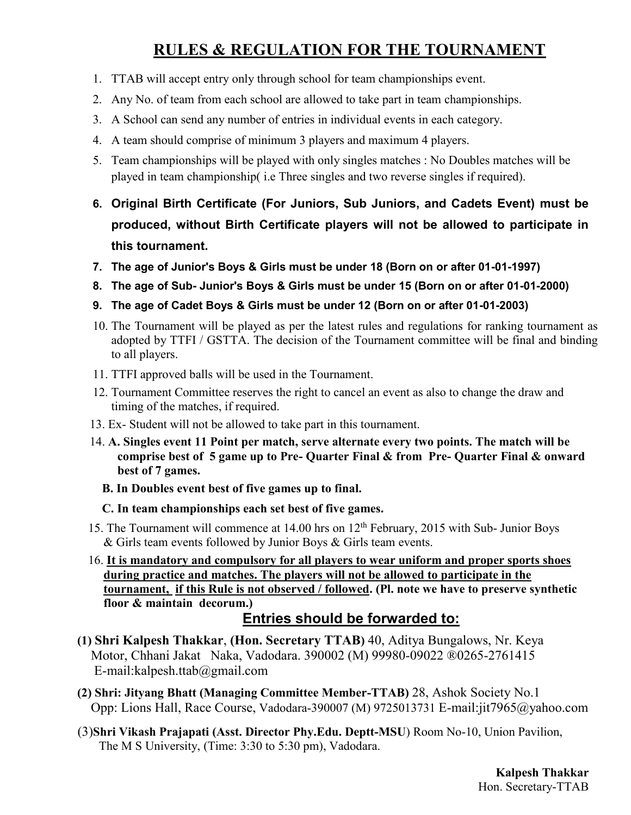# **RULES & REGULATION FOR THE TOURNAMENT**

- 1. TTAB will accept entry only through school for team championships event.
- 2. Any No. of team from each school are allowed to take part in team championships.
- 3. A School can send any number of entries in individual events in each category.
- 4. A team should comprise of minimum 3 players and maximum 4 players.
- 5. Team championships will be played with only singles matches : No Doubles matches will be played in team championship( i.e Three singles and two reverse singles if required).
- **6. Original Birth Certificate (For Juniors, Sub Juniors, and Cadets Event) must be produced, without Birth Certificate players will not be allowed to participate in this tournament.**
- **7. The age of Junior's Boys & Girls must be under 18 (Born on or after 01-01-1997)**
- **8. The age of Sub- Junior's Boys & Girls must be under 15 (Born on or after 01-01-2000)**
- **9. The age of Cadet Boys & Girls must be under 12 (Born on or after 01-01-2003)**
- 10. The Tournament will be played as per the latest rules and regulations for ranking tournament as adopted by TTFI / GSTTA. The decision of the Tournament committee will be final and binding to all players.
- 11. TTFI approved balls will be used in the Tournament.
- 12. Tournament Committee reserves the right to cancel an event as also to change the draw and timing of the matches, if required.
- 13. Ex- Student will not be allowed to take part in this tournament.
- 14. **A. Singles event 11 Point per match, serve alternate every two points. The match will be comprise best of 5 game up to Pre- Quarter Final & from Pre- Quarter Final & onward best of 7 games.**
	- **B. In Doubles event best of five games up to final.**

### **C. In team championships each set best of five games.**

- 15. The Tournament will commence at 14.00 hrs on 12<sup>th</sup> February, 2015 with Sub- Junior Boys & Girls team events followed by Junior Boys & Girls team events.
- 16. **It is mandatory and compulsory for all players to wear uniform and proper sports shoes during practice and matches. The players will not be allowed to participate in the tournament, if this Rule is not observed / followed. (Pl. note we have to preserve synthetic floor & maintain decorum.)**

## **Entries should be forwarded to:**

- **(1) Shri Kalpesh Thakkar**, **(Hon. Secretary TTAB)** 40, Aditya Bungalows, Nr. Keya Motor, Chhani Jakat Naka, Vadodara. 390002 (M) 99980-09022 ®0265-2761415 E-mail:kalpesh.ttab@gmail.com
- **(2) Shri: Jityang Bhatt (Managing Committee Member-TTAB)** 28, Ashok Society No.1 Opp: Lions Hall, Race Course, Vadodara-390007 (M) 9725013731 E-mail:jit7965@yahoo.com
- (3)**Shri Vikash Prajapati (Asst. Director Phy.Edu. Deptt-MSU**) Room No-10, Union Pavilion, The M S University, (Time: 3:30 to 5:30 pm), Vadodara.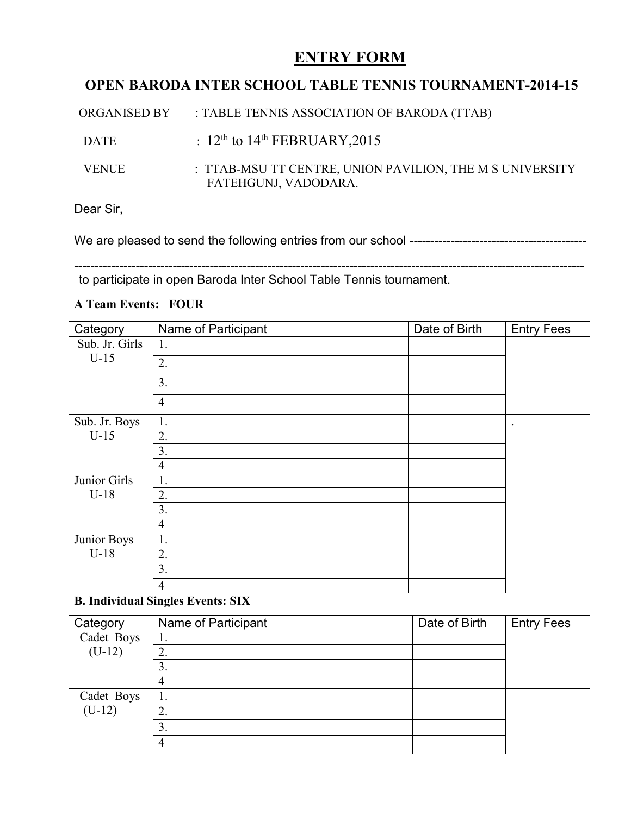# **ENTRY FORM**

## **OPEN BARODA INTER SCHOOL TABLE TENNIS TOURNAMENT-2014-15**

| ORGANISED BY | : TABLE TENNIS ASSOCIATION OF BARODA (TTAB)                                      |
|--------------|----------------------------------------------------------------------------------|
| <b>DATE</b>  | : $12^{\text{th}}$ to $14^{\text{th}}$ FEBRUARY, 2015                            |
| <b>VENUE</b> | : TTAB-MSU TT CENTRE, UNION PAVILION, THE M S UNIVERSITY<br>FATEHGUNJ, VADODARA. |

Dear Sir,

We are pleased to send the following entries from our school -------------------------------------------

--------------------------------------------------------------------------------------------------------------------------- to participate in open Baroda Inter School Table Tennis tournament.

### **A Team Events: FOUR**

| Category                                 | Name of Participant | Date of Birth | <b>Entry Fees</b>    |  |
|------------------------------------------|---------------------|---------------|----------------------|--|
| Sub. Jr. Girls                           | 1.                  |               |                      |  |
| $U-15$                                   | $\overline{2}$ .    |               |                      |  |
|                                          | 3.                  |               |                      |  |
|                                          | $\overline{4}$      |               |                      |  |
| Sub. Jr. Boys                            | 1.                  |               | $\ddot{\phantom{a}}$ |  |
| $U-15$                                   | 2.                  |               |                      |  |
|                                          | $\overline{3}$ .    |               |                      |  |
|                                          | $\overline{4}$      |               |                      |  |
| Junior Girls                             | 1.                  |               |                      |  |
| $U-18$                                   | 2.                  |               |                      |  |
|                                          | $\overline{3}$ .    |               |                      |  |
|                                          | $\overline{4}$      |               |                      |  |
| Junior Boys                              | 1.                  |               |                      |  |
| $U-18$                                   | $\overline{2}$ .    |               |                      |  |
|                                          | $\overline{3}$ .    |               |                      |  |
|                                          | $\overline{4}$      |               |                      |  |
| <b>B. Individual Singles Events: SIX</b> |                     |               |                      |  |
| Category                                 | Name of Participant | Date of Birth | <b>Entry Fees</b>    |  |
| Cadet Boys                               | 1.                  |               |                      |  |
| $(U-12)$                                 | $\overline{2}$ .    |               |                      |  |
|                                          | 3.                  |               |                      |  |
|                                          | $\overline{4}$      |               |                      |  |
| Cadet Boys                               | 1.                  |               |                      |  |
| $(U-12)$                                 | 2.                  |               |                      |  |
|                                          | $\overline{3}$ .    |               |                      |  |
|                                          | $\overline{4}$      |               |                      |  |
|                                          |                     |               |                      |  |